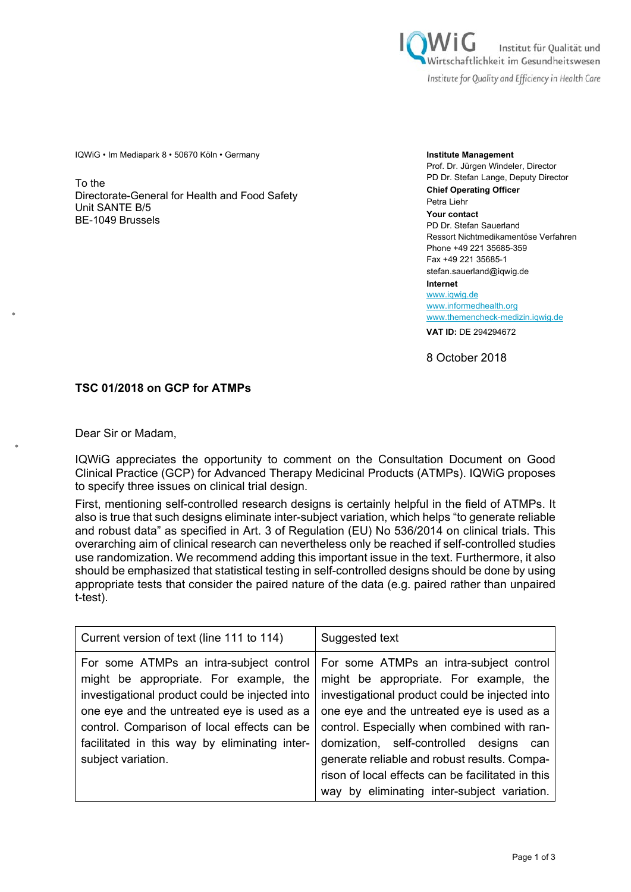

IQWiG • Im Mediapark 8 • 50670 Köln • Germany **Institute Management** 

To the Directorate-General for Health and Food Safety Unit SANTE B/5 BE-1049 Brussels

Prof. Dr. Jürgen Windeler, Director PD Dr. Stefan Lange, Deputy Director **Chief Operating Officer**  Petra Liehr **Your contact**  PD Dr. Stefan Sauerland Ressort Nichtmedikamentöse Verfahren Phone +49 221 35685-359 Fax +49 221 35685-1 stefan.sauerland@iqwig.de

**Internet**  www.iqwig.de www.informedhealth.org www.themencheck-medizin.iqwig.de

**VAT ID:** DE 294294672

8 October 2018

## **TSC 01/2018 on GCP for ATMPs**

Dear Sir or Madam,

IQWiG appreciates the opportunity to comment on the Consultation Document on Good Clinical Practice (GCP) for Advanced Therapy Medicinal Products (ATMPs). IQWiG proposes to specify three issues on clinical trial design.

First, mentioning self-controlled research designs is certainly helpful in the field of ATMPs. It also is true that such designs eliminate inter-subject variation, which helps "to generate reliable and robust data" as specified in Art. 3 of Regulation (EU) No 536/2014 on clinical trials. This overarching aim of clinical research can nevertheless only be reached if self-controlled studies use randomization. We recommend adding this important issue in the text. Furthermore, it also should be emphasized that statistical testing in self-controlled designs should be done by using appropriate tests that consider the paired nature of the data (e.g. paired rather than unpaired t-test).

| Current version of text (line 111 to 114)                                                                                                                                                                                                                                                               | Suggested text                                                                                                                                                                                                                                                                                                                                                                                                                     |
|---------------------------------------------------------------------------------------------------------------------------------------------------------------------------------------------------------------------------------------------------------------------------------------------------------|------------------------------------------------------------------------------------------------------------------------------------------------------------------------------------------------------------------------------------------------------------------------------------------------------------------------------------------------------------------------------------------------------------------------------------|
| For some ATMPs an intra-subject control<br>might be appropriate. For example, the<br>investigational product could be injected into<br>one eye and the untreated eye is used as a<br>control. Comparison of local effects can be<br>facilitated in this way by eliminating inter-<br>subject variation. | For some ATMPs an intra-subject control<br>might be appropriate. For example, the<br>investigational product could be injected into<br>one eye and the untreated eye is used as a<br>control. Especially when combined with ran-<br>domization, self-controlled designs<br>can<br>generate reliable and robust results. Compa-<br>rison of local effects can be facilitated in this<br>way by eliminating inter-subject variation. |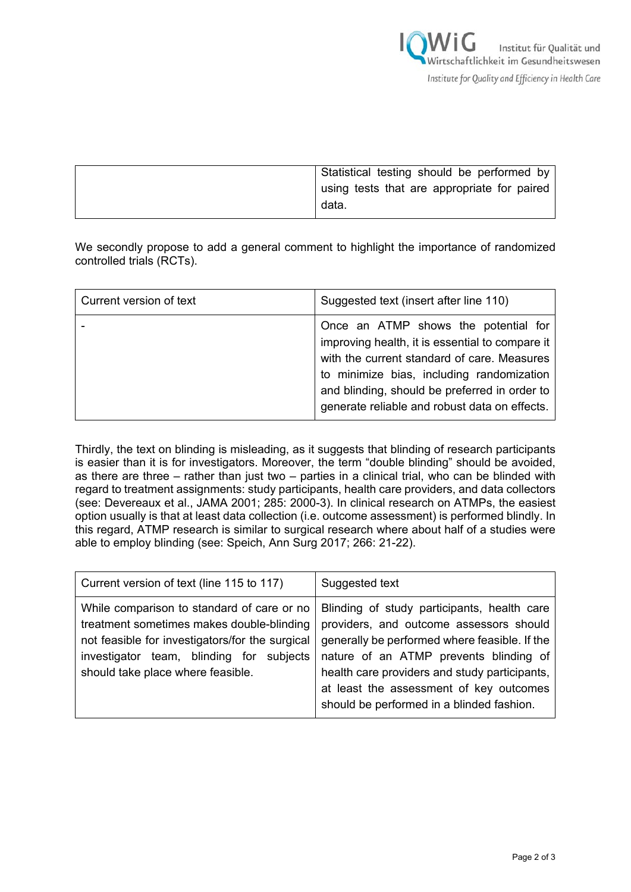

| Statistical testing should be performed by  |
|---------------------------------------------|
| using tests that are appropriate for paired |
| data.                                       |

We secondly propose to add a general comment to highlight the importance of randomized controlled trials (RCTs).

| Current version of text | Suggested text (insert after line 110)                                                                                                                                                                                                                                                |
|-------------------------|---------------------------------------------------------------------------------------------------------------------------------------------------------------------------------------------------------------------------------------------------------------------------------------|
|                         | Once an ATMP shows the potential for<br>improving health, it is essential to compare it<br>with the current standard of care. Measures<br>to minimize bias, including randomization<br>and blinding, should be preferred in order to<br>generate reliable and robust data on effects. |

Thirdly, the text on blinding is misleading, as it suggests that blinding of research participants is easier than it is for investigators. Moreover, the term "double blinding" should be avoided, as there are three – rather than just two – parties in a clinical trial, who can be blinded with regard to treatment assignments: study participants, health care providers, and data collectors (see: Devereaux et al., JAMA 2001; 285: 2000-3). In clinical research on ATMPs, the easiest option usually is that at least data collection (i.e. outcome assessment) is performed blindly. In this regard, ATMP research is similar to surgical research where about half of a studies were able to employ blinding (see: Speich, Ann Surg 2017; 266: 21-22).

| Current version of text (line 115 to 117)                                                                                                                                                                                   | Suggested text                                                                                                                                                                                                                                                                                                             |
|-----------------------------------------------------------------------------------------------------------------------------------------------------------------------------------------------------------------------------|----------------------------------------------------------------------------------------------------------------------------------------------------------------------------------------------------------------------------------------------------------------------------------------------------------------------------|
| While comparison to standard of care or no<br>treatment sometimes makes double-blinding<br>not feasible for investigators/for the surgical<br>investigator team, blinding for subjects<br>should take place where feasible. | Blinding of study participants, health care<br>providers, and outcome assessors should<br>generally be performed where feasible. If the<br>nature of an ATMP prevents blinding of<br>health care providers and study participants,<br>at least the assessment of key outcomes<br>should be performed in a blinded fashion. |